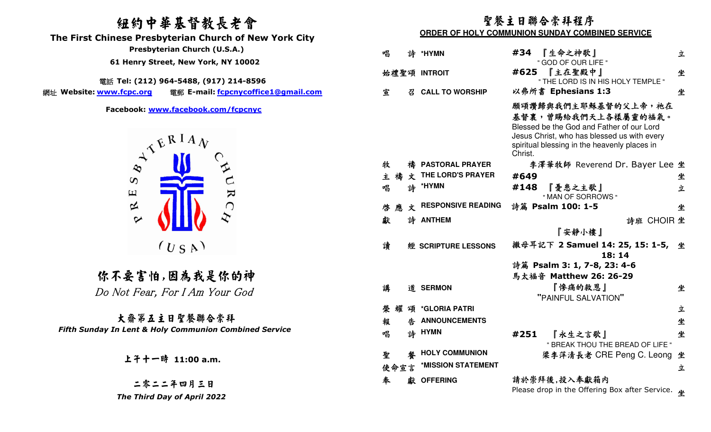# 紐約中華基督教長老會

 **The First Chinese Presbyterian Church of New York City** 

電話 **Tel: (212) 964-5488, (917) 214-8596** 

網址 Website: <u>www.fcpc.org</u> **Website: www.fcpc.org** 電郵 **E-mail: fcpcnycoffice1@gmail.com**



你不要害怕,因為我是你的神 Do Not Fear, For I Am Your God

大齋第五主日聖餐聯合崇拜 *Fifth Sunday In Lent & Holy Communion Combined Service*

二零二二年四月三日 *The Third Day of April 2022* 

## 聖餐主日聯合崇拜程序**ORDER OF HOLY COMMUNION SUNDAY COMBINED SERVICE**

| Presbyterian Church (U.S.A.)                              | 唱      | 誅 | *HYMN                     | #34     | 『生命之神歌』                                                                                                                                                                                | 立          |
|-----------------------------------------------------------|--------|---|---------------------------|---------|----------------------------------------------------------------------------------------------------------------------------------------------------------------------------------------|------------|
| 61 Henry Street, New York, NY 10002                       |        |   |                           |         | " GOD OF OUR LIFE "                                                                                                                                                                    |            |
|                                                           |        |   | 始禮聖頌 INTROIT              |         | #625 【主在聖殿中】                                                                                                                                                                           | 坐          |
| 話 Tel: (212) 964-5488, (917) 214-8596                     |        |   |                           |         | " THE LORD IS IN HIS HOLY TEMPLE "                                                                                                                                                     |            |
| 電郵 E-mail: fcpcnycoffice1@gmail.com<br><u>ww.fcpc.org</u> | 宣      | 召 | <b>CALL TO WORSHIP</b>    |         | 以弗所書 Ephesians 1:3                                                                                                                                                                     | 坐          |
| Facebook: www.facebook.com/fcpcnyc<br>WERIAN              |        |   |                           | Christ. | 願頌讚歸與我們主耶穌基督的父上帝,祂在<br>基督裏,曾賜給我們天上各樣屬靈的福氣。<br>Blessed be the God and Father of our Lord<br>Jesus Christ, who has blessed us with every<br>spiritual blessing in the heavenly places in |            |
|                                                           | 牧      |   | 禱 PASTORAL PRAYER         |         | 李澤華牧師 Reverend Dr. Bayer Lee 坐                                                                                                                                                         |            |
| $\infty$                                                  | 主禧     |   | 文 THE LORD'S PRAYER       | #649    |                                                                                                                                                                                        | 坐          |
| $\mathbf{K}$<br>$\Xi$                                     | 唱      | 詩 | *HYMN                     | #148    | 『憂患之主歌』<br>" MAN OF SORROWS "                                                                                                                                                          | 立          |
| 区<br>$\bigcap$                                            | 啓應     | 文 | <b>RESPONSIVE READING</b> |         | 詩篇 Psalm 100: 1-5                                                                                                                                                                      | 坐          |
| $\blacktriangleright$                                     | 獻      |   | 詩 ANTHEM                  |         |                                                                                                                                                                                        | 詩班 CHOIR 坐 |
|                                                           |        |   |                           |         | 『安靜小樓』                                                                                                                                                                                 |            |
| (USA)                                                     | 讀      |   | 經 SCRIPTURE LESSONS       |         | 撒母耳記下 2 Samuel 14: 25, 15: 1-5, 坐<br>18:14                                                                                                                                             |            |
|                                                           |        |   |                           |         | 詩篇 Psalm 3: 1, 7-8, 23: 4-6                                                                                                                                                            |            |
| :不要害怕,因為我是你的神                                             |        |   |                           |         | 馬太福音 Matthew 26: 26-29                                                                                                                                                                 |            |
| ) Not Fear, For I Am Your God                             | 講      |   | 道 SERMON                  |         | 『慘痛的救恩』<br>"PAINFUL SALVATION"                                                                                                                                                         | 坐          |
|                                                           | 榮<br>耀 |   | 頌 *GLORIA PATRI           |         |                                                                                                                                                                                        | 立          |
| 大齋第五主日聖餐聯合崇拜                                              | 報      | 生 | <b>ANNOUNCEMENTS</b>      |         |                                                                                                                                                                                        | 坐          |
| In Lent & Holy Communion Combined Service                 | 唱      |   | 詩 HYMN                    | #251    | 『永生之言歌』<br>" BREAK THOU THE BREAD OF LIFE "                                                                                                                                            | 坐          |
| 上子十一時 11:00 a.m.                                          | 聖      | 馨 | <b>HOLY COMMUNION</b>     |         | 梁李萍清長老 CRE Peng C. Leong 坐                                                                                                                                                             |            |
|                                                           | 使命宣言   |   | *MISSION STATEMENT        |         |                                                                                                                                                                                        | 立          |
| 二零二二年四月三日                                                 | 奉      |   | 獻 OFFERING                |         | 請於崇拜後,投入奉獻箱内                                                                                                                                                                           |            |
| . Think Brook Annil 2022                                  |        |   |                           |         | Please drop in the Offering Box after Service. $\mathbf{u}$                                                                                                                            |            |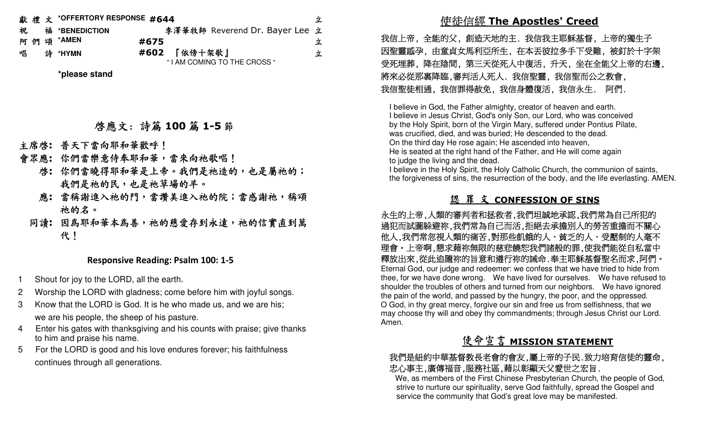|   |  | 獻禮文 *OFFERTORY RESPONSE #644 |                                | 立 |
|---|--|------------------------------|--------------------------------|---|
| 祝 |  | <sup>福</sup> *BENEDICTION    | 李澤華牧師 Reverend Dr. Bayer Lee 立 |   |
|   |  | 阿 們 頌 *AMEN                  | #675                           | 立 |
| 唱 |  | 詩 *HYMN                      | #602 『依傍十架歌』                   | 立 |
|   |  |                              | "I AM COMING TO THE CROSS"     |   |

**\*please stand** 

# 啟應文: 詩篇 **<sup>100</sup>** 篇 **1-5** 節

- 主席啟**:** 普天下當向耶和華歡呼!
- 會眾應**:** 你們當樂意侍奉耶和華,當來向祂歌唱!
	- 啟**:** 你們當曉得耶和華是上帝。我們是祂造的,也是屬祂的; 我們是祂的民,也是祂草場的羊。
	- 應**:** 當稱謝進入祂的門,當讚美進入祂的院;當感謝祂,稱頌 祂的名。
	- 同讀:因為耶和華本為善,祂的慈愛存到永遠,祂的信實直到萬 代!

### **Responsive Reading: Psalm 100: 1-5**

- Shout for joy to the LORD, all the earth.
- 2 Worship the LORD with gladness; come before him with joyful songs.
- 3 Know that the LORD is God. It is he who made us, and we are his; we are his people, the sheep of his pasture.
- 4 Enter his gates with thanksgiving and his counts with praise; give thanks to him and praise his name.
- 5 For the LORD is good and his love endures forever; his faithfulness continues through all generations.

# 使徒信經 **The Apostles' Creed**

 我信上帝, 全能的父, 創造天地的主. 我信我主耶穌基督, 上帝的獨生子 因聖靈感孕, 由童貞女馬利亞所生, 在本丟彼拉多手下受難, 被釘於十字架 受死埋葬, 降在陰間, 第三天從死人中復活, 升天, 坐在全能父上帝的右邊, 將來必從那裏降臨,審判活人死人. 我信聖靈, 我信聖而公之教會, 我信聖徒相通, 我信罪得赦免, 我信身體復活, 我信永生. 阿們.

I believe in God, the Father almighty, creator of heaven and earth. I believe in Jesus Christ, God's only Son, our Lord, who was conceived by the Holy Spirit, born of the Virgin Mary, suffered under Pontius Pilate, was crucified, died, and was buried; He descended to the dead. On the third day He rose again; He ascended into heaven, He is seated at the right hand of the Father, and He will come again to judge the living and the dead.

 I believe in the Holy Spirit, the Holy Catholic Church, the communion of saints, the forgiveness of sins, the resurrection of the body, and the life everlasting. AMEN.

## 認 罪 文 **CONFESSION OF SINS**

 永生的上帝,人類的審判者和拯救者,我們坦誠地承認,我們常為自己所犯的 過犯而試圖躲避祢,我們常為自己而活,拒絕去承擔別人的勞苦重擔而不關心 他人,我們常忽視人類的痛苦,對那些飢餓的人、貧乏的人、受壓制的人毫不 理會。上帝啊,懇求藉祢無限的慈悲饒恕我們諸般的罪,使我們能從自私當中 釋放出來,從此追隨祢的旨意和遵行祢的誡命.奉主耶穌基督聖名而求,阿們。 Eternal God, our judge and redeemer: we confess that we have tried to hide from thee, for we have done wrong. We have lived for ourselves. We have refused to shoulder the troubles of others and turned from our neighbors. We have ignored the pain of the world, and passed by the hungry, the poor, and the oppressed. O God, in thy great mercy, forgive our sin and free us from selfishness, that we may choose thy will and obey thy commandments; through Jesus Christ our Lord. Amen.

# 使命宣言 **MISSION STATEMENT**

### 我們是紐約中華基督教長老會的會友,屬上帝的子民.致力培育信徒的靈命, 忠心事主,廣傳福音,服務社區,藉以彰顯天父愛世之宏旨.

 We, as members of the First Chinese Presbyterian Church, the people of God, strive to nurture our spirituality, serve God faithfully, spread the Gospel and service the community that God's great love may be manifested.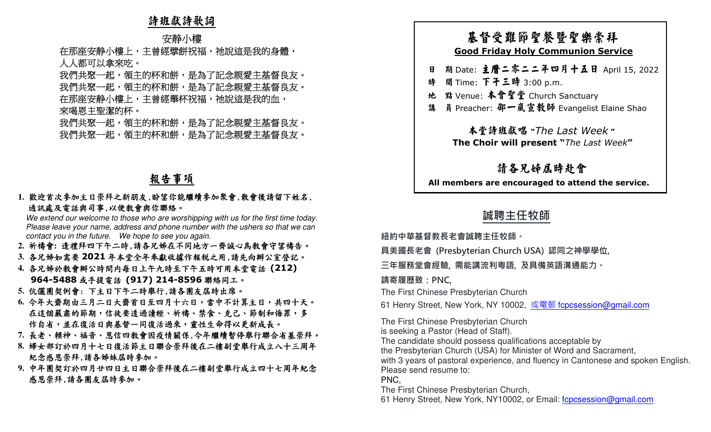## 詩班獻詩歌詞

### 安静小樓

在那座安静小樓上,主曾經擘餅祝福,祂說這是我的身體,<br>人人都可以拿來吃。<br>我們共聚一起,領主的杯和餅,是為了記念親愛主基督良友。<br>我們共聚一起,領主的杯和餅,是為了記念親愛主基督良友。<br>來喝恩主聖潔的杯。<br>來喝恩主聖潔的杯和餅,是為了記念親愛主基督良友。<br>我們共聚一起,領主的杯和餅,是為了記念親愛主基督良友。 感恩崇拜,請各團友屆時參加。 基督受難節聖餐暨聖樂崇拜 **Good Friday Holy Communion Service** 日 期 Date: 主曆二零二二年四月十五日 April 15, 2022 時 間 Time: 下午三時 3:00 p.m. 地 點 Venue: 本會聖堂 Church Sanctuary 講 員 Preacher: 邵一嵐宣教師 Evangelist Elaine Shao 本堂詩班獻唱 **"***The Last Week* **" The Choir will present "***The Last Week***"** 請各兄姊屆時赴會 **All members are encouraged to attend the service. 誠聘主任牧師 紐約中華基督教⻑老會誠聘主任牧師。 具美國⻑老會 (Presbyterian Church USA) 認同之神學學位, 三年服務堂會經驗, 需能講流利粵語, 及具備英語溝通能力。 請寄履歷致:PNC,** The First Chinese Presbyterian Church 61 Henry Street, New York, NY 10002, 或電郵 fcpcsession@gmail.com The First Chinese Presbyterian Church is seeking a Pastor (Head of Staff). The candidate should possess qualifications acceptable by the Presbyterian Church (USA) for Minister of Word and Sacrament, with 3 years of pastoral experience, and fluency in Cantonese and spoken English. Please send resume to: PNC, The First Chinese Presbyterian Church,

# 報告事項

# **1.** 歡迎首次參加主日崇拜之新朋友,盼望你能繼續參加聚會,散會後請留下姓名, 通訊處及電話與司事,以便教會與你聯絡。

We extend our welcome to those who are worshipping with us for the first time today. Please leave your name, address and phone number with the ushers so that we can contact you in the future. We hope to see you again.

- **2.** 祈禱會**:** 逢禮拜四下午二時,請各兄姊在不同地方一齊誠心為教會守望禱告。
- **3.** 各兄姊如需要 **<sup>2021</sup>** 年本堂全年奉獻收據作報稅之用,請先向辦公室登記。
- **4.** 各兄姊於教會辦公時間內每日上午九時至下午五時可用本堂電話 **(212) 964-5488** 或手提電話 **(917) 214-8596** 聯絡同工。
- **5.** 伉儷團契例會: 下主日下午二時舉行,請各團友屆時出席。
- **6.** 今年大齋期由三月二日大齋首日至四月十六日,當中不計算主日,共四十天。在這個嚴肅的節期,信徒要透過讀經、祈禱、禁食、克己、節制和悔罪,多 作自省,並在復活日與基督一同復活過來,靈性生命得以更新成長。
- **7.** 長老、賴神、福音、恩信四教會因疫情關係,今年繼續暫停舉行聯合省墓崇拜。
- **8.** 婦女部訂於四月十七日復活節主日聯合崇拜後在二樓副堂舉行成立八十三周年紀念感恩崇拜,請各姊妹屆時參加。
- **9.** 中年團契訂於四月廿四日主日聯合崇拜後在二樓副堂舉行成立四十七周年紀念

- 
- 
- 
- 

61 Henry Street, New York, NY10002, or Email: fcpcsession@gmail.com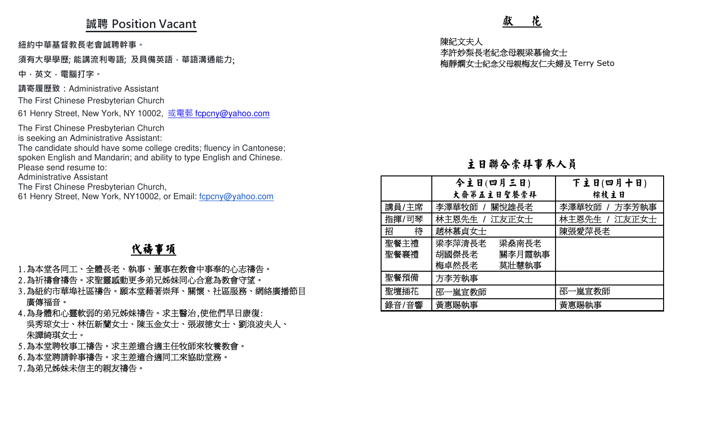## **誠聘 Position Vacant**

### **須有大學學歷; 能講流利粵語; 及具備英語,華語溝通能力**;

# 代禱事項

- 
- 
- 
- 
- 
- 
- 

| 誠聘 Position Vacant                                                                                                                                                                                                                                           |                          | 獻<br>花                                                  |                                          |  |  |
|--------------------------------------------------------------------------------------------------------------------------------------------------------------------------------------------------------------------------------------------------------------|--------------------------|---------------------------------------------------------|------------------------------------------|--|--|
| 紐約中華基督教長老會誠聘幹事。<br>須有大學學歷; 能講流利粵語; 及具備英語,華語溝通能力;<br>中,英文,電腦打字。                                                                                                                                                                                               |                          | 陳紀文夫人<br>李許妙梨長老紀念母親梁慕倫女士<br>梅靜嫻女士紀念父母親梅友仁夫婦及 Terry Seto |                                          |  |  |
| 請寄履歷致:Administrative Assistant<br>The First Chinese Presbyterian Church<br>61 Henry Street, New York, NY 10002, 或電郵 fcpcny@yahoo.com                                                                                                                         |                          |                                                         |                                          |  |  |
| The First Chinese Presbyterian Church<br>is seeking an Administrative Assistant:<br>The candidate should have some college credits; fluency in Cantonese;<br>spoken English and Mandarin; and ability to type English and Chinese.<br>Please send resume to: |                          | 主日聯合崇拜事奉人員                                              |                                          |  |  |
| <b>Administrative Assistant</b><br>The First Chinese Presbyterian Church,<br>61 Henry Street, New York, NY10002, or Email: fcpcny@yahoo.com                                                                                                                  |                          | 今主日(四月三日)<br>大齋第五主日聖餐崇拜                                 | 下主日(四月十日)<br>棕枝主日                        |  |  |
|                                                                                                                                                                                                                                                              | 講員/主席<br>指揮/司琴<br>招<br>待 | 李澤華牧師 / 關悅雄長老<br>  林主恩先生 / 江友正女士<br>趙林慕貞女士              | 李澤華牧師 / 方李芳執事<br>林主恩先生 / 江友正女士<br>陳張愛萍長老 |  |  |
| <b>代禱事項</b><br>1.為本堂各同工、全體長老、執事、董事在教會中事奉的心志禱告。                                                                                                                                                                                                               | 聖餐主禮<br>聖餐襄禮             | 梁李萍清長老<br>梁燊南長老<br>胡國傑長老<br>關李月霞執事<br>梅卓然長老<br>莫壯慧執事    |                                          |  |  |
| 2.為祈禱會禱告。求聖靈感動更多弟兄姊妹同心合意為教會守望。                                                                                                                                                                                                                               | 聖餐預備                     | 方李芳執事                                                   |                                          |  |  |
| 3.為紐約市華埠社區禱告。願本堂藉著崇拜、關懷、社區服務、網絡廣播節目<br>廣傳福音。                                                                                                                                                                                                                 | 聖壇插花<br>錄音/音響            | 邵一嵐宣教師<br>黃惠賜執事                                         | 邵一嵐宣教師<br>黃惠賜執事                          |  |  |
| 4.為身體和心靈軟弱的弟兄姊妹禱告。求主醫治,使他們早日康復:<br>吳秀琼女士、林伍新蘭女士、陳玉金女士、張淑德女士、劉浪波夫人、<br>朱譚綺琪女士。<br>5.為本堂聘牧事工禱告。求主差遣合適主任牧師來牧養教會。<br>6.為本堂聘請幹事禱告。求主差遣合適同工來協助堂務。<br>7.為弟兄姊妹未信主的親友禱告。                                                                                              |                          |                                                         |                                          |  |  |